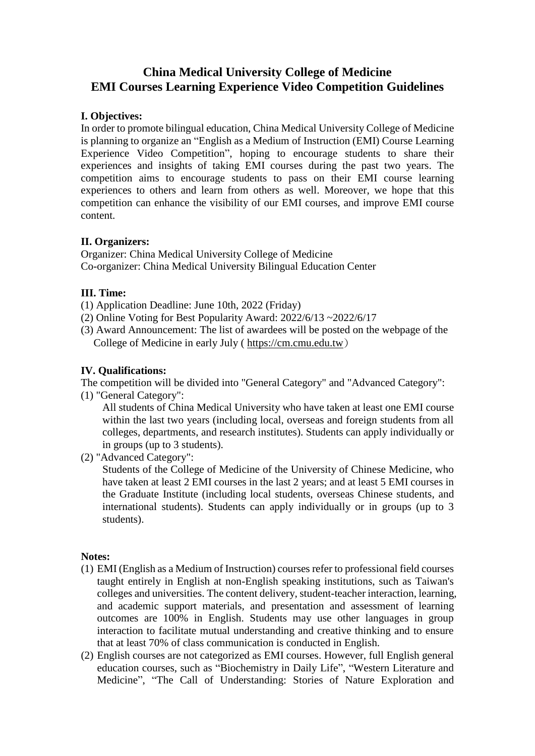# **China Medical University College of Medicine EMI Courses Learning Experience Video Competition Guidelines**

### **I. Objectives:**

In order to promote bilingual education, China Medical University College of Medicine is planning to organize an "English as a Medium of Instruction (EMI) Course Learning Experience Video Competition", hoping to encourage students to share their experiences and insights of taking EMI courses during the past two years. The competition aims to encourage students to pass on their EMI course learning experiences to others and learn from others as well. Moreover, we hope that this competition can enhance the visibility of our EMI courses, and improve EMI course content.

### **II. Organizers:**

Organizer: China Medical University College of Medicine Co-organizer: China Medical University Bilingual Education Center

## **III. Time:**

- (1) Application Deadline: June 10th, 2022 (Friday)
- (2) Online Voting for Best Popularity Award: 2022/6/13 ~2022/6/17
- (3) Award Announcement: The list of awardees will be posted on the webpage of the College of Medicine in early July ( [https://cm.cmu.edu.tw](https://cm.cmu.edu.tw/))

## **IV. Qualifications:**

The competition will be divided into "General Category" and "Advanced Category":

(1) "General Category":

All students of China Medical University who have taken at least one EMI course within the last two years (including local, overseas and foreign students from all colleges, departments, and research institutes). Students can apply individually or in groups (up to 3 students).

(2) "Advanced Category":

Students of the College of Medicine of the University of Chinese Medicine, who have taken at least 2 EMI courses in the last 2 years; and at least 5 EMI courses in the Graduate Institute (including local students, overseas Chinese students, and international students). Students can apply individually or in groups (up to 3 students).

### **Notes:**

- (1) EMI (English as a Medium of Instruction) courses refer to professional field courses taught entirely in English at non-English speaking institutions, such as Taiwan's colleges and universities. The content delivery, student-teacher interaction, learning, and academic support materials, and presentation and assessment of learning outcomes are 100% in English. Students may use other languages in group interaction to facilitate mutual understanding and creative thinking and to ensure that at least 70% of class communication is conducted in English.
- (2) English courses are not categorized as EMI courses. However, full English general education courses, such as "Biochemistry in Daily Life", "Western Literature and Medicine", "The Call of Understanding: Stories of Nature Exploration and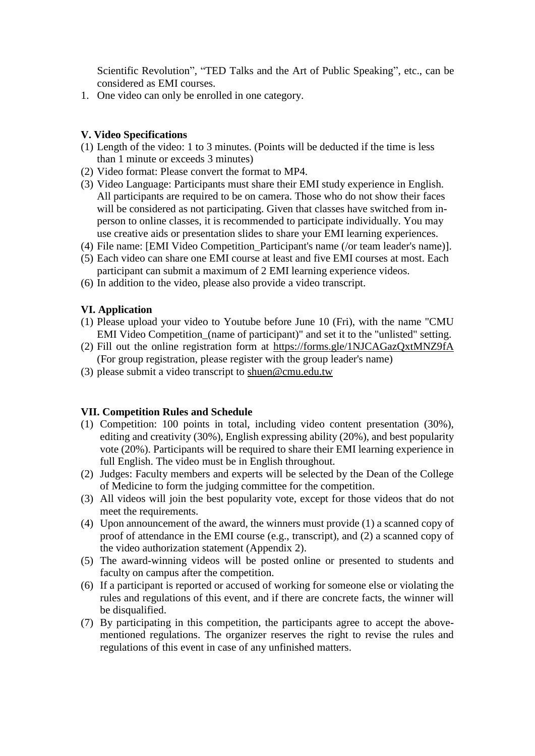Scientific Revolution", "TED Talks and the Art of Public Speaking", etc., can be considered as EMI courses.

1. One video can only be enrolled in one category.

#### **V. Video Specifications**

- (1) Length of the video: 1 to 3 minutes. (Points will be deducted if the time is less than 1 minute or exceeds 3 minutes)
- (2) Video format: Please convert the format to MP4.
- (3) Video Language: Participants must share their EMI study experience in English. All participants are required to be on camera. Those who do not show their faces will be considered as not participating. Given that classes have switched from inperson to online classes, it is recommended to participate individually. You may use creative aids or presentation slides to share your EMI learning experiences.
- (4) File name: [EMI Video Competition\_Participant's name (/or team leader's name)].
- (5) Each video can share one EMI course at least and five EMI courses at most. Each participant can submit a maximum of 2 EMI learning experience videos.
- (6) In addition to the video, please also provide a video transcript.

### **VI. Application**

- (1) Please upload your video to Youtube before June 10 (Fri), with the name "CMU EMI Video Competition\_(name of participant)" and set it to the "unlisted" setting.
- (2) Fill out the online registration form at<https://forms.gle/1NJCAGazQxtMNZ9fA> (For group registration, please register with the group leader's name)
- (3) please submit a video transcript to [shuen@cmu.edu.tw](mailto:shuen@cmu.edu.tw)

#### **VII. Competition Rules and Schedule**

- (1) Competition: 100 points in total, including video content presentation (30%), editing and creativity (30%), English expressing ability (20%), and best popularity vote (20%). Participants will be required to share their EMI learning experience in full English. The video must be in English throughout.
- (2) Judges: Faculty members and experts will be selected by the Dean of the College of Medicine to form the judging committee for the competition.
- (3) All videos will join the best popularity vote, except for those videos that do not meet the requirements.
- (4) Upon announcement of the award, the winners must provide (1) a scanned copy of proof of attendance in the EMI course (e.g., transcript), and (2) a scanned copy of the video authorization statement (Appendix 2).
- (5) The award-winning videos will be posted online or presented to students and faculty on campus after the competition.
- (6) If a participant is reported or accused of working for someone else or violating the rules and regulations of this event, and if there are concrete facts, the winner will be disqualified.
- (7) By participating in this competition, the participants agree to accept the abovementioned regulations. The organizer reserves the right to revise the rules and regulations of this event in case of any unfinished matters.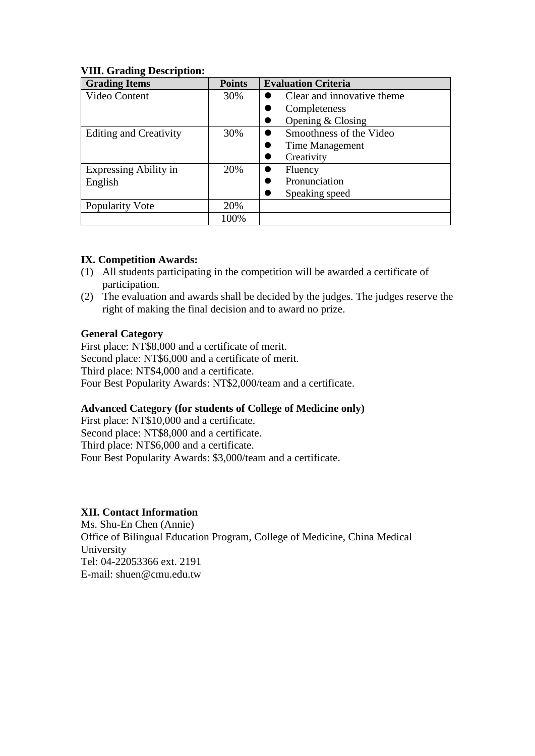| <b>Grading Items</b>          | <b>Points</b> | <b>Evaluation Criteria</b>  |
|-------------------------------|---------------|-----------------------------|
| Video Content                 | 30%           | Clear and innovative theme. |
|                               |               | Completeness                |
|                               |               | Opening $& Classing$        |
| <b>Editing and Creativity</b> | 30%           | Smoothness of the Video     |
|                               |               | Time Management             |
|                               |               | Creativity                  |
| <b>Expressing Ability in</b>  | 20%           | Fluency                     |
| English                       |               | Pronunciation               |
|                               |               | Speaking speed              |
| Popularity Vote               | 20%           |                             |
|                               | 100%          |                             |

### **VIII. Grading Description:**

#### **IX. Competition Awards:**

- (1) All students participating in the competition will be awarded a certificate of participation.
- (2) The evaluation and awards shall be decided by the judges. The judges reserve the right of making the final decision and to award no prize.

#### **General Category**

First place: NT\$8,000 and a certificate of merit. Second place: NT\$6,000 and a certificate of merit. Third place: NT\$4,000 and a certificate. Four Best Popularity Awards: NT\$2,000/team and a certificate.

### **Advanced Category (for students of College of Medicine only)**

First place: NT\$10,000 and a certificate. Second place: NT\$8,000 and a certificate. Third place: NT\$6,000 and a certificate. Four Best Popularity Awards: \$3,000/team and a certificate.

### **XII. Contact Information**

Ms. Shu-En Chen (Annie) Office of Bilingual Education Program, College of Medicine, China Medical University Tel: 04-22053366 ext. 2191 E-mail: shuen@cmu.edu.tw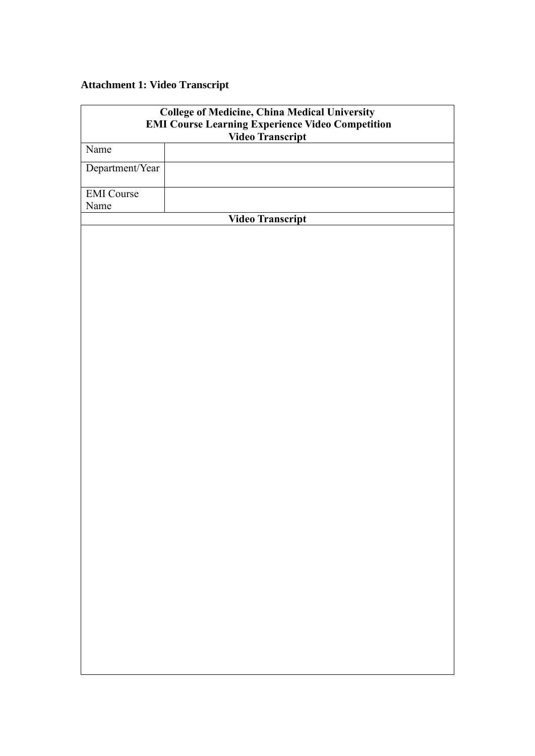# **Attachment 1: Video Transcript**

| <b>College of Medicine, China Medical University</b><br><b>EMI Course Learning Experience Video Competition</b> |                  |  |
|-----------------------------------------------------------------------------------------------------------------|------------------|--|
|                                                                                                                 |                  |  |
| Name                                                                                                            |                  |  |
| Department/Year                                                                                                 |                  |  |
| <b>EMI</b> Course                                                                                               |                  |  |
| Name                                                                                                            |                  |  |
|                                                                                                                 | Video Transcript |  |
|                                                                                                                 |                  |  |
|                                                                                                                 |                  |  |
|                                                                                                                 |                  |  |
|                                                                                                                 |                  |  |
|                                                                                                                 |                  |  |
|                                                                                                                 |                  |  |
|                                                                                                                 |                  |  |
|                                                                                                                 |                  |  |
|                                                                                                                 |                  |  |
|                                                                                                                 |                  |  |
|                                                                                                                 |                  |  |
|                                                                                                                 |                  |  |
|                                                                                                                 |                  |  |
|                                                                                                                 |                  |  |
|                                                                                                                 |                  |  |
|                                                                                                                 |                  |  |
|                                                                                                                 |                  |  |
|                                                                                                                 |                  |  |
|                                                                                                                 |                  |  |
|                                                                                                                 |                  |  |
|                                                                                                                 |                  |  |
|                                                                                                                 |                  |  |
|                                                                                                                 |                  |  |
|                                                                                                                 |                  |  |
|                                                                                                                 |                  |  |
|                                                                                                                 |                  |  |
|                                                                                                                 |                  |  |
|                                                                                                                 |                  |  |
|                                                                                                                 |                  |  |
|                                                                                                                 |                  |  |
|                                                                                                                 |                  |  |
|                                                                                                                 |                  |  |